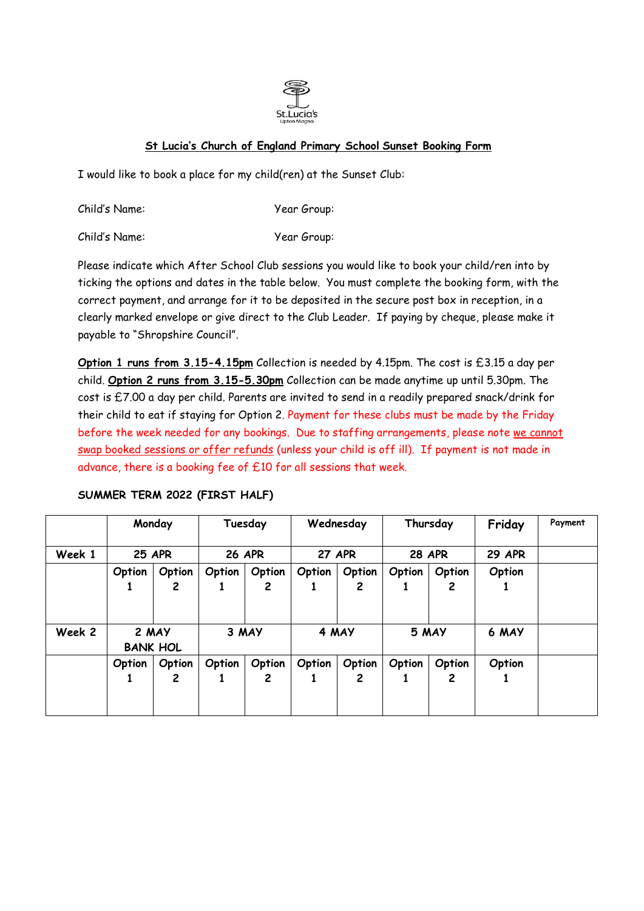

## **St Lucia's Church of England Primary School Sunset Booking Form**

I would like to book a place for my child(ren) at the Sunset Club:

Child's Name: Year Group:

Child's Name: Year Group:

Please indicate which After School Club sessions you would like to book your child/ren into by ticking the options and dates in the table below. You must complete the booking form, with the correct payment, and arrange for it to be deposited in the secure post box in reception, in a clearly marked envelope or give direct to the Club Leader. If paying by cheque, please make it payable to "Shropshire Council".

**Option 1 runs from 3.15-4.15pm** Collection is needed by 4.15pm. The cost is £3.15 a day per child. **Option 2 runs from 3.15-5.30pm** Collection can be made anytime up until 5.30pm. The cost is £7.00 a day per child. Parents are invited to send in a readily prepared snack/drink for their child to eat if staying for Option 2. Payment for these clubs must be made by the Friday before the week needed for any bookings. Due to staffing arrangements, please note we cannot swap booked sessions or offer refunds (unless your child is off ill). If payment is not made in advance, there is a booking fee of £10 for all sessions that week.

|        | Monday<br><b>25 APR</b>  |                        | Tuesday<br><b>26 APR</b> |             | Wednesday<br><b>27 APR</b> |                        | Thursday<br><b>28 APR</b> |             | Friday        | Payment |
|--------|--------------------------|------------------------|--------------------------|-------------|----------------------------|------------------------|---------------------------|-------------|---------------|---------|
| Week 1 |                          |                        |                          |             |                            |                        |                           |             | <b>29 APR</b> |         |
|        | Option                   | Option                 | Option                   | Option      | Option                     | Option                 | Option                    | Option      | Option        |         |
|        |                          | $\mathbf{2}$           |                          | 2           | 1                          | $\mathbf{2}$           |                           | 2           |               |         |
| Week 2 | 2 MAY<br><b>BANK HOL</b> |                        | 3 MAY                    |             | 4 MAY                      |                        | 5 MAY                     |             | 6 MAY         |         |
|        | Option                   | Option<br>$\mathbf{2}$ | Option                   | Option<br>2 | Option                     | Option<br>$\mathbf{2}$ | Option                    | Option<br>2 | Option        |         |
|        |                          |                        |                          |             |                            |                        |                           |             |               |         |

## **SUMMER TERM 2022 (FIRST HALF)**